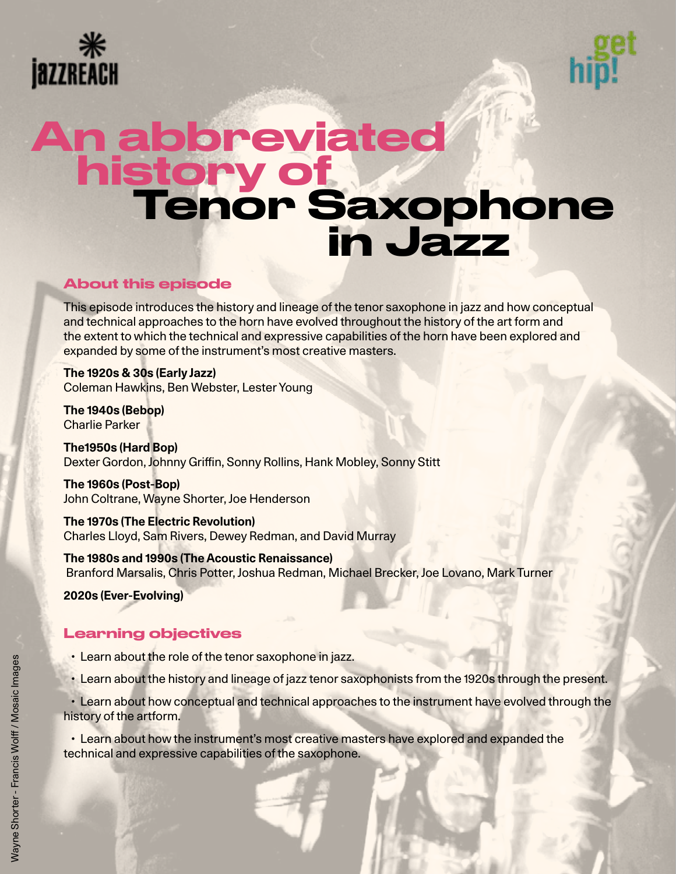



# Tenor Saxophone **in Jazz** An abbreviated history of

# About this episode

This episode introduces the history and lineage of the tenor saxophone in jazz and how conceptual and technical approaches to the horn have evolved throughout the history of the art form and the extent to which the technical and expressive capabilities of the horn have been explored and expanded by some of the instrument's most creative masters.

**The 1920s & 30s (Early Jazz)** Coleman Hawkins, Ben Webster, Lester Young

**The 1940s (Bebop)** Charlie Parker

**The1950s (Hard Bop)** Dexter Gordon, Johnny Griffin, Sonny Rollins, Hank Mobley, Sonny Stitt

**The 1960s (Post-Bop)** John Coltrane, Wayne Shorter, Joe Henderson

**The 1970s (The Electric Revolution)** Charles Lloyd, Sam Rivers, Dewey Redman, and David Murray

**The 1980s and 1990s (The Acoustic Renaissance)** Branford Marsalis, Chris Potter, Joshua Redman, Michael Brecker, Joe Lovano, Mark Turner

**2020s (Ever-Evolving)**

# Learning objectives

- Learn about the role of the tenor saxophone in jazz.
- Learn about the history and lineage of jazz tenor saxophonists from the 1920s through the present.

 • Learn about how conceptual and technical approaches to the instrument have evolved through the history of the artform.

 • Learn about how the instrument's most creative masters have explored and expanded the technical and expressive capabilities of the saxophone.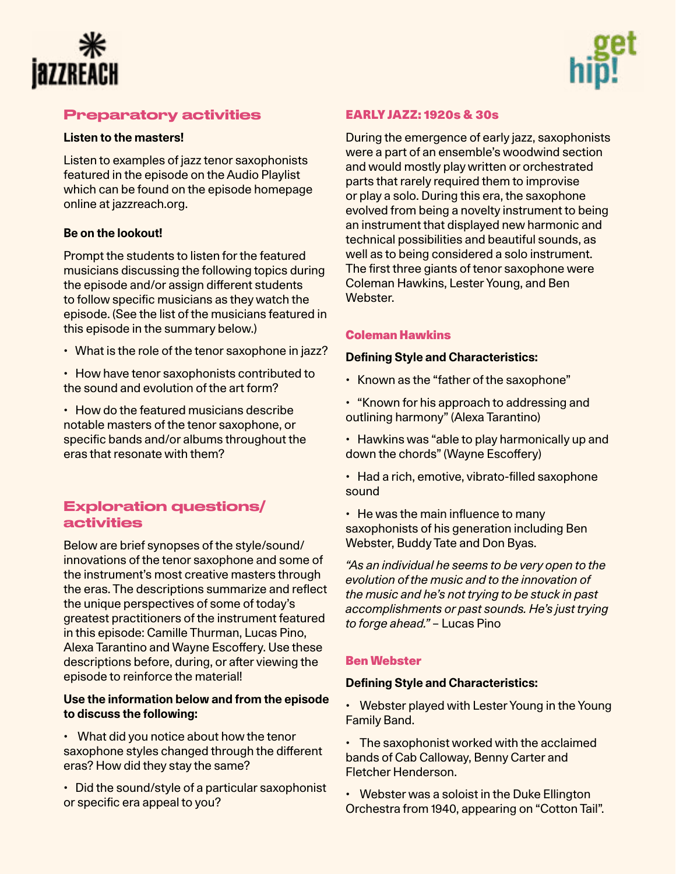



# Preparatory activities

#### **Listen to the masters!**

Listen to examples of jazz tenor saxophonists featured in the episode on the Audio Playlist which can be found on the episode homepage online at jazzreach.org.

#### **Be on the lookout!**

Prompt the students to listen for the featured musicians discussing the following topics during the episode and/or assign different students to follow specific musicians as they watch the episode. (See the list of the musicians featured in this episode in the summary below.)

- What is the role of the tenor saxophone in jazz?
- How have tenor saxophonists contributed to the sound and evolution of the art form?

• How do the featured musicians describe notable masters of the tenor saxophone, or specific bands and/or albums throughout the eras that resonate with them?

# Exploration questions/ activities

Below are brief synopses of the style/sound/ innovations of the tenor saxophone and some of the instrument's most creative masters through the eras. The descriptions summarize and reflect the unique perspectives of some of today's greatest practitioners of the instrument featured in this episode: Camille Thurman, Lucas Pino, Alexa Tarantino and Wayne Escoffery. Use these descriptions before, during, or after viewing the episode to reinforce the material!

#### **Use the information below and from the episode to discuss the following:**

• What did you notice about how the tenor saxophone styles changed through the different eras? How did they stay the same?

• Did the sound/style of a particular saxophonist or specific era appeal to you?

# EARLY JAZZ: 1920s & 30s

During the emergence of early jazz, saxophonists were a part of an ensemble's woodwind section and would mostly play written or orchestrated parts that rarely required them to improvise or play a solo. During this era, the saxophone evolved from being a novelty instrument to being an instrument that displayed new harmonic and technical possibilities and beautiful sounds, as well as to being considered a solo instrument. The first three giants of tenor saxophone were Coleman Hawkins, Lester Young, and Ben Webster.

### [Coleman Hawkins](https://en.wikipedia.org/wiki/Coleman_Hawkins)

#### **Defining Style and Characteristics:**

- Known as the "father of the saxophone"
- "Known for his approach to addressing and outlining harmony" (Alexa Tarantino)
- Hawkins was "able to play harmonically up and down the chords" (Wayne Escoffery)
- Had a rich, emotive, vibrato-filled saxophone sound

• He was the main influence to many saxophonists of his generation including Ben Webster, Buddy Tate and Don Byas.

*"As an individual he seems to be very open to the evolution of the music and to the innovation of the music and he's not trying to be stuck in past accomplishments or past sounds. He's just trying to forge ahead."* – Lucas Pino

### [Ben Webster](https://en.wikipedia.org/wiki/Ben_Webster 
)

#### **Defining Style and Characteristics:**

• Webster played with Lester Young in the Young Family Band.

• The saxophonist worked with the acclaimed bands of Cab Calloway, Benny Carter and Fletcher Henderson.

• Webster was a soloist in the Duke Ellington Orchestra from 1940, appearing on "Cotton Tail".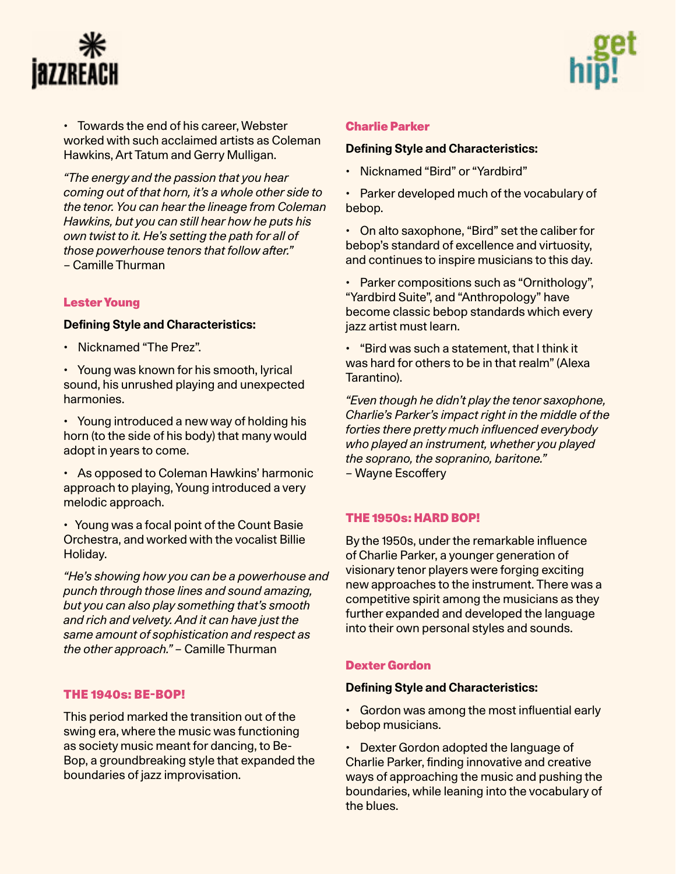



• Towards the end of his career, Webster worked with such acclaimed artists as Coleman Hawkins, Art Tatum and Gerry Mulligan.

*"The energy and the passion that you hear coming out of that horn, it's a whole other side to the tenor. You can hear the lineage from Coleman Hawkins, but you can still hear how he puts his own twist to it. He's setting the path for all of those powerhouse tenors that follow after."* – Camille Thurman

#### [Lester Young](https://en.wikipedia.org/wiki/Lester_Young )

#### **Defining Style and Characteristics:**

- Nicknamed "The Prez".
- Young was known for his smooth, lyrical sound, his unrushed playing and unexpected harmonies.
- Young introduced a new way of holding his horn (to the side of his body) that many would adopt in years to come.
- As opposed to Coleman Hawkins' harmonic approach to playing, Young introduced a very melodic approach.
- Young was a focal point of the Count Basie Orchestra, and worked with the vocalist Billie Holiday.
- *"He's showing how you can be a powerhouse and punch through those lines and sound amazing, but you can also play something that's smooth and rich and velvety. And it can have just the same amount of sophistication and respect as the other approach." –* Camille Thurman

#### THE 1940s: BE-BOP!

This period marked the transition out of the swing era, where the music was functioning as society music meant for dancing, to Be-Bop, a groundbreaking style that expanded the boundaries of jazz improvisation.

#### [Charlie Parker](https://en.wikipedia.org/wiki/Charlie_Parker)

#### **[Defining Style and Characteristics:](https://en.wikipedia.org/wiki/Charlie_Parker)**

- Nicknamed "Bird" or "Yardbird"
- Parker developed much of the vocabulary of bebop.
- On alto saxophone, "Bird" set the caliber for bebop's standard of excellence and virtuosity, and continues to inspire musicians to this day.
- Parker compositions such as "Ornithology", "Yardbird Suite", and "Anthropology" have become classic bebop standards which every jazz artist must learn.
- "Bird was such a statement, that I think it was hard for others to be in that realm" (Alexa Tarantino).
- *"Even though he didn't play the tenor saxophone, Charlie's Parker's impact right in the middle of the forties there pretty much influenced everybody who played an instrument, whether you played the soprano, the sopranino, baritone." –* Wayne Escoffery

#### THE 1950s: HARD BOP!

By the 1950s, under the remarkable influence of Charlie Parker, a younger generation of visionary tenor players were forging exciting new approaches to the instrument. There was a competitive spirit among the musicians as they further expanded and developed the language into their own personal styles and sounds.

#### [Dexter Gordon](https://en.wikipedia.org/wiki/Dexter_Gordon)

#### **Defining Style and Characteristics:**

- Gordon was among the most influential early bebop musicians.
- Dexter Gordon adopted the language of Charlie Parker, finding innovative and creative ways of approaching the music and pushing the boundaries, while leaning into the vocabulary of the blues.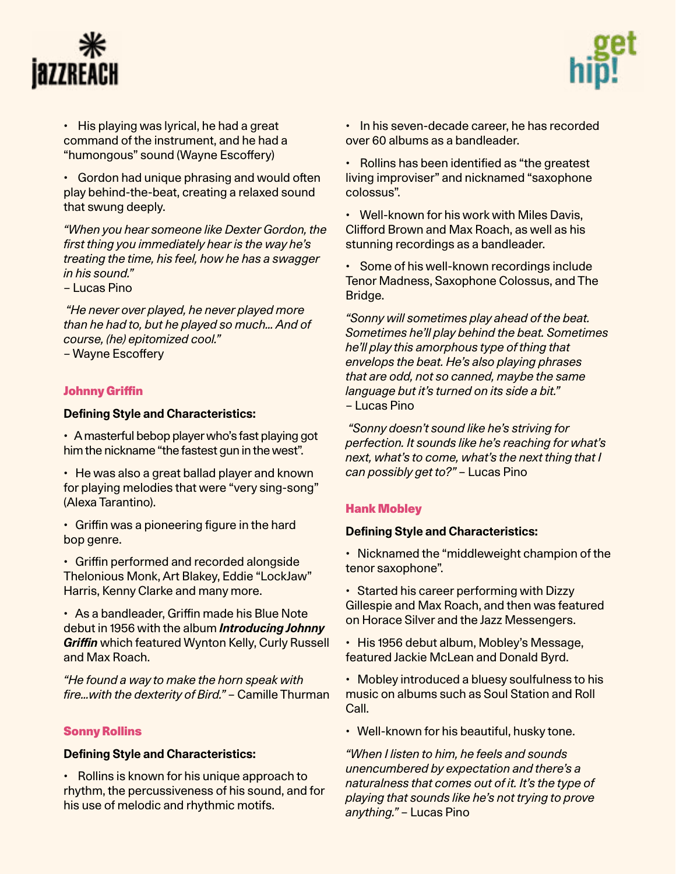



• His playing was lyrical, he had a great command of the instrument, and he had a "humongous" sound (Wayne Escoffery)

• Gordon had unique phrasing and would often play behind-the-beat, creating a relaxed sound that swung deeply.

*"When you hear someone like Dexter Gordon, the first thing you immediately hear is the way he's treating the time, his feel, how he has a swagger in his sound."*

– Lucas Pino

*"He never over played, he never played more than he had to, but he played so much… And of course, (he) epitomized cool."*

– Wayne Escoffery

### [Johnny Griffin](https://en.wikipedia.org/wiki/Johnny_Griffin)

#### **Defining Style and Characteristics:**

• A masterful bebop player who's fast playing got him the nickname "the fastest gun in the west".

• He was also a great ballad player and known for playing melodies that were "very sing-song" (Alexa Tarantino).

• Griffin was a pioneering figure in the hard bop genre.

• Griffin performed and recorded alongside Thelonious Monk, Art Blakey, Eddie "LockJaw" Harris, Kenny Clarke and many more.

• As a bandleader, Griffin made his Blue Note debut in 1956 with the album *Introducing Johnny Griffin* which featured Wynton Kelly, Curly Russell and Max Roach.

*"He found a way to make the horn speak with fire…with the dexterity of Bird."* – Camille Thurman

#### [Sonny Rollins](https://en.wikipedia.org/wiki/Sonny_Rollins)

#### **Defining Style and Characteristics:**

• Rollins is known for his unique approach to rhythm, the percussiveness of his sound, and for his use of melodic and rhythmic motifs.

• In his seven-decade career, he has recorded over 60 albums as a bandleader.

• Rollins has been identified as "the greatest living improviser" and nicknamed "saxophone colossus".

• Well-known for his work with Miles Davis, Clifford Brown and Max Roach, as well as his stunning recordings as a bandleader.

• Some of his well-known recordings include Tenor Madness, Saxophone Colossus, and The Bridge.

*"Sonny will sometimes play ahead of the beat. Sometimes he'll play behind the beat. Sometimes he'll play this amorphous type of thing that envelops the beat. He's also playing phrases that are odd, not so canned, maybe the same language but it's turned on its side a bit."*  – Lucas Pino

 *"Sonny doesn't sound like he's striving for perfection. It sounds like he's reaching for what's next, what's to come, what's the next thing that I can possibly get to?"* – Lucas Pino

#### [Hank Mobley](https://en.wikipedia.org/wiki/Hank_Mobley)

#### **Defining Style and Characteristics:**

• Nicknamed the "middleweight champion of the tenor saxophone".

• Started his career performing with Dizzy Gillespie and Max Roach, and then was featured on Horace Silver and the Jazz Messengers.

• His 1956 debut album, Mobley's Message, featured Jackie McLean and Donald Byrd.

• Mobley introduced a bluesy soulfulness to his music on albums such as Soul Station and Roll Call.

• Well-known for his beautiful, husky tone.

*"When I listen to him, he feels and sounds unencumbered by expectation and there's a naturalness that comes out of it. It's the type of playing that sounds like he's not trying to prove anything."* – Lucas Pino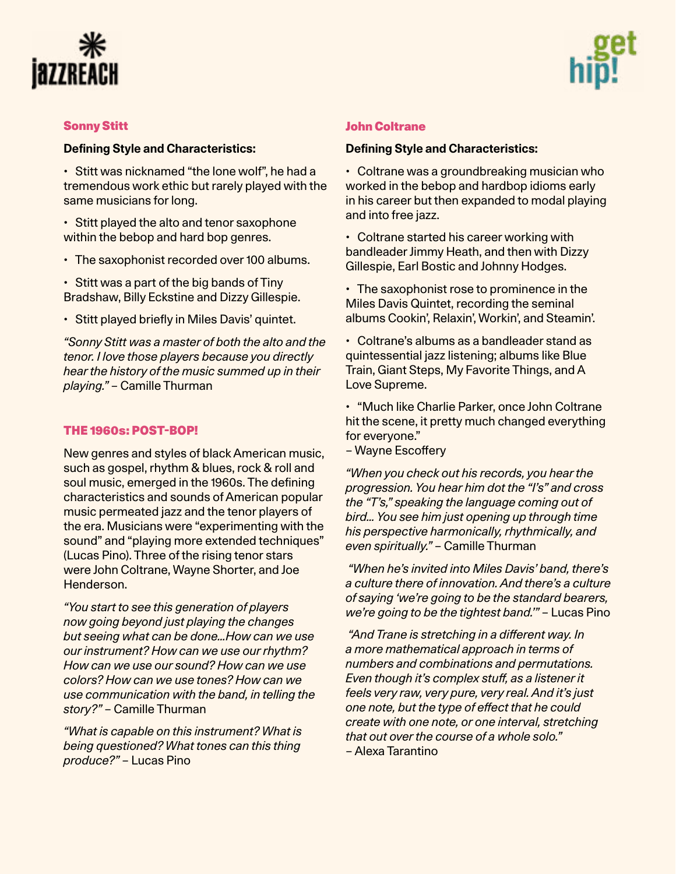



#### [Sonny Stitt](https://en.wikipedia.org/wiki/Sonny_Stitt)

#### **Defining Style and Characteristics:**

• Stitt was nicknamed "the lone wolf", he had a tremendous work ethic but rarely played with the same musicians for long.

• Stitt played the alto and tenor saxophone within the bebop and hard bop genres.

• The saxophonist recorded over 100 albums.

• Stitt was a part of the big bands of Tiny Bradshaw, Billy Eckstine and Dizzy Gillespie.

• Stitt played briefly in Miles Davis' quintet.

*"Sonny Stitt was a master of both the alto and the tenor. I love those players because you directly hear the history of the music summed up in their playing."* – Camille Thurman

#### THE 1960s: POST-BOP!

New genres and styles of black American music, such as gospel, rhythm & blues, rock & roll and soul music, emerged in the 1960s. The defining characteristics and sounds of American popular music permeated jazz and the tenor players of the era. Musicians were "experimenting with the sound" and "playing more extended techniques" (Lucas Pino). Three of the rising tenor stars were John Coltrane, Wayne Shorter, and Joe Henderson.

*"You start to see this generation of players now going beyond just playing the changes but seeing what can be done…How can we use our instrument? How can we use our rhythm? How can we use our sound? How can we use colors? How can we use tones? How can we use communication with the band, in telling the story?"* – Camille Thurman

*"What is capable on this instrument? What is being questioned? What tones can this thing produce?"* – Lucas Pino

#### [John Coltrane](https://en.wikipedia.org/wiki/John_Coltrane)

#### **Defining Style and Characteristics:**

• Coltrane was a groundbreaking musician who worked in the bebop and hardbop idioms early in his career but then expanded to modal playing and into free jazz.

• Coltrane started his career working with bandleader Jimmy Heath, and then with Dizzy Gillespie, Earl Bostic and Johnny Hodges.

• The saxophonist rose to prominence in the Miles Davis Quintet, recording the seminal albums Cookin', Relaxin', Workin', and Steamin'.

• Coltrane's albums as a bandleader stand as quintessential jazz listening; albums like Blue Train, Giant Steps, My Favorite Things, and A Love Supreme.

• "Much like Charlie Parker, once John Coltrane hit the scene, it pretty much changed everything for everyone."

– Wayne Escoffery

*"When you check out his records, you hear the progression. You hear him dot the "I's" and cross the "T's," speaking the language coming out of bird… You see him just opening up through time his perspective harmonically, rhythmically, and even spiritually."* – Camille Thurman

 *"When he's invited into Miles Davis' band, there's a culture there of innovation. And there's a culture of saying 'we're going to be the standard bearers, we're going to be the tightest band.'"* – Lucas Pino

*"And Trane is stretching in a different way. In a more mathematical approach in terms of numbers and combinations and permutations. Even though it's complex stuff, as a listener it feels very raw, very pure, very real. And it's just one note, but the type of effect that he could create with one note, or one interval, stretching that out over the course of a whole solo."*

– Alexa Tarantino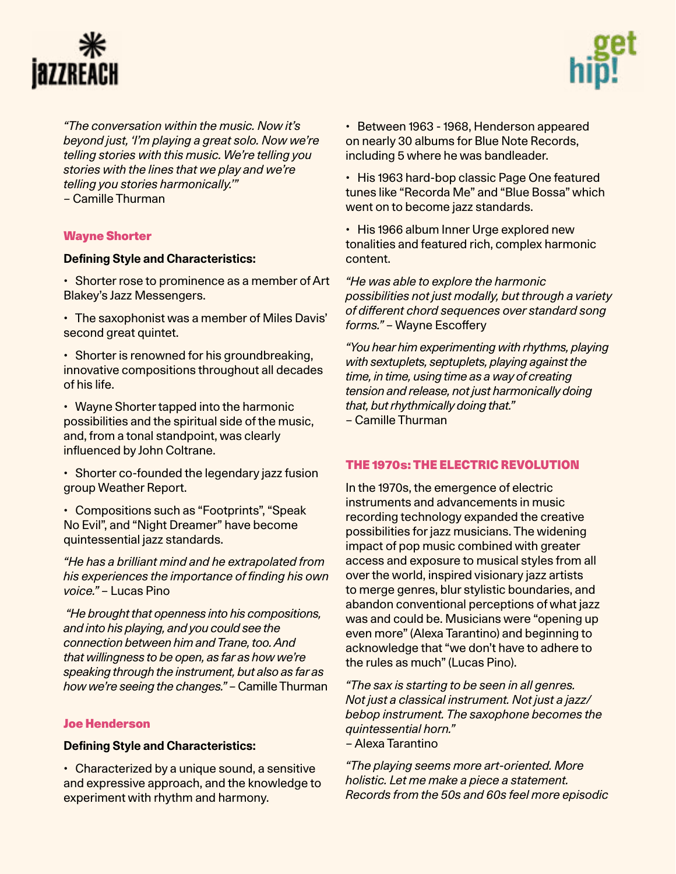



*"The conversation within the music. Now it's beyond just, 'I'm playing a great solo. Now we're telling stories with this music. We're telling you stories with the lines that we play and we're telling you stories harmonically.'" –* Camille Thurman

### [Wayne Shorter](https://en.wikipedia.org/wiki/Wayne_Shorter)

#### **Defining Style and Characteristics:**

• Shorter rose to prominence as a member of Art Blakey's Jazz Messengers.

- The saxophonist was a member of Miles Davis' second great quintet.
- Shorter is renowned for his groundbreaking, innovative compositions throughout all decades of his life.

• Wayne Shorter tapped into the harmonic possibilities and the spiritual side of the music, and, from a tonal standpoint, was clearly influenced by John Coltrane.

• Shorter co-founded the legendary jazz fusion group Weather Report.

• Compositions such as "Footprints", "Speak No Evil", and "Night Dreamer" have become quintessential jazz standards.

*"He has a brilliant mind and he extrapolated from his experiences the importance of finding his own voice."* – Lucas Pino

 *"He brought that openness into his compositions, and into his playing, and you could see the connection between him and Trane, too. And that willingness to be open, as far as how we're speaking through the instrument, but also as far as how we're seeing the changes."* – Camille Thurman

#### [Joe Henderson](https://en.wikipedia.org/wiki/Joe_Henderson)

### **Defining Style and Characteristics:**

• Characterized by a unique sound, a sensitive and expressive approach, and the knowledge to experiment with rhythm and harmony.

• Between 1963 - 1968, Henderson appeared on nearly 30 albums for Blue Note Records, including 5 where he was bandleader.

• His 1963 hard-bop classic Page One featured tunes like "Recorda Me" and "Blue Bossa" which went on to become jazz standards.

• His 1966 album Inner Urge explored new tonalities and featured rich, complex harmonic content.

*"He was able to explore the harmonic possibilities not just modally, but through a variety of different chord sequences over standard song forms."* – Wayne Escoffery

*"You hear him experimenting with rhythms, playing with sextuplets, septuplets, playing against the time, in time, using time as a way of creating tension and release, not just harmonically doing that, but rhythmically doing that."* – Camille Thurman

### THE 1970s: THE ELECTRIC REVOLUTION

In the 1970s, the emergence of electric instruments and advancements in music recording technology expanded the creative possibilities for jazz musicians. The widening impact of pop music combined with greater access and exposure to musical styles from all over the world, inspired visionary jazz artists to merge genres, blur stylistic boundaries, and abandon conventional perceptions of what jazz was and could be. Musicians were "opening up even more" (Alexa Tarantino) and beginning to acknowledge that "we don't have to adhere to the rules as much" (Lucas Pino).

*"The sax is starting to be seen in all genres. Not just a classical instrument. Not just a jazz/ bebop instrument. The saxophone becomes the quintessential horn."*  – Alexa Tarantino

*"The playing seems more art-oriented. More holistic. Let me make a piece a statement. Records from the 50s and 60s feel more episodic*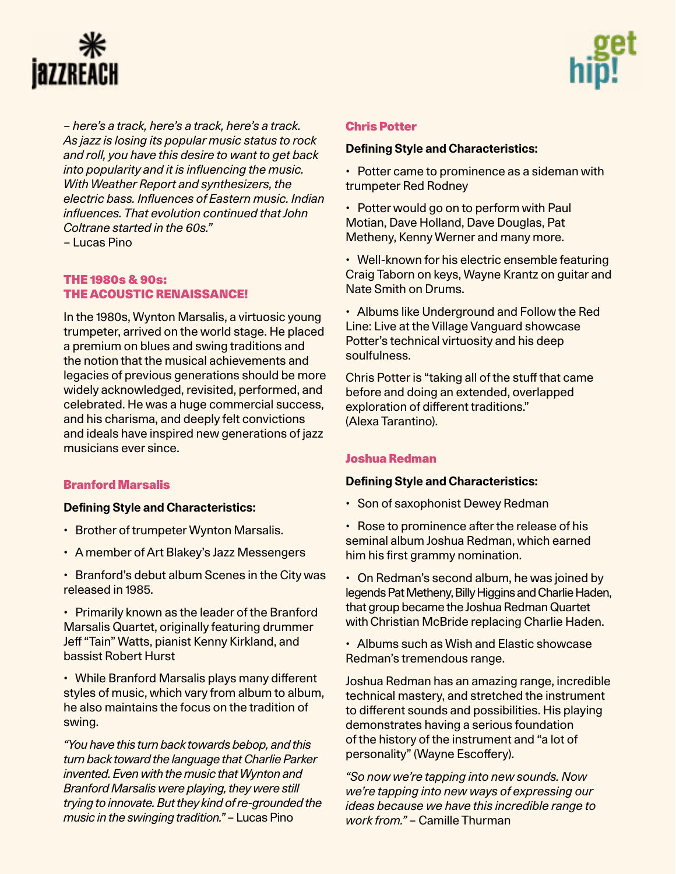



*– here's a track, here's a track, here's a track. As jazz is losing its popular music status to rock and roll, you have this desire to want to get back into popularity and it is influencing the music. With Weather Report and synthesizers, the electric bass. Influences of Eastern music. Indian influences. That evolution continued that John Coltrane started in the 60s."*  – Lucas Pino

### THE 1980s & 90s: THE ACOUSTIC RENAISSANCE!

In the 1980s, Wynton Marsalis, a virtuosic young trumpeter, arrived on the world stage. He placed a premium on blues and swing traditions and the notion that the musical achievements and legacies of previous generations should be more widely acknowledged, revisited, performed, and celebrated. He was a huge commercial success, and his charisma, and deeply felt convictions and ideals have inspired new generations of jazz musicians ever since.

### [Branford Marsalis](https://en.wikipedia.org/wiki/Branford_Marsalis)

### **Defining Style and Characteristics:**

- Brother of trumpeter Wynton Marsalis.
- A member of Art Blakey's Jazz Messengers
- Branford's debut album Scenes in the City was released in 1985.

• Primarily known as the leader of the Branford Marsalis Quartet, originally featuring drummer Jeff "Tain" Watts, pianist Kenny Kirkland, and bassist Robert Hurst

• While Branford Marsalis plays many different styles of music, which vary from album to album, he also maintains the focus on the tradition of swing.

*"You have this turn back towards bebop, and this turn back toward the language that Charlie Parker invented. Even with the music that Wynton and Branford Marsalis were playing, they were still trying to innovate. But they kind of re-grounded the music in the swinging tradition."* – Lucas Pino

#### [Chris Potter](https://en.wikipedia.org/wiki/Chris_Potter_(jazz_saxophonist)

#### **Defining Style and Characteristics:**

• Potter came to prominence as a sideman with trumpeter Red Rodney

• Potter would go on to perform with Paul Motian, Dave Holland, Dave Douglas, Pat Metheny, Kenny Werner and many more.

• Well-known for his electric ensemble featuring Craig Taborn on keys, Wayne Krantz on guitar and Nate Smith on Drums.

• Albums like Underground and Follow the Red Line: Live at the Village Vanguard showcase Potter's technical virtuosity and his deep soulfulness.

Chris Potter is "taking all of the stuff that came before and doing an extended, overlapped exploration of different traditions." (Alexa Tarantino).

#### [Joshua Redman](https://en.wikipedia.org/wiki/Joshua_Redman)

#### **Defining Style and Characteristics:**

- Son of saxophonist Dewey Redman
- Rose to prominence after the release of his seminal album Joshua Redman, which earned him his first grammy nomination.
- On Redman's second album, he was joined by legends Pat Metheny, Billy Higgins and Charlie Haden, that group became the Joshua Redman Quartet with Christian McBride replacing Charlie Haden.
- Albums such as Wish and Elastic showcase Redman's tremendous range.

Joshua Redman has an amazing range, incredible technical mastery, and stretched the instrument to different sounds and possibilities. His playing demonstrates having a serious foundation of the history of the instrument and "a lot of personality" (Wayne Escoffery).

*"So now we're tapping into new sounds. Now we're tapping into new ways of expressing our ideas because we have this incredible range to work from."* – Camille Thurman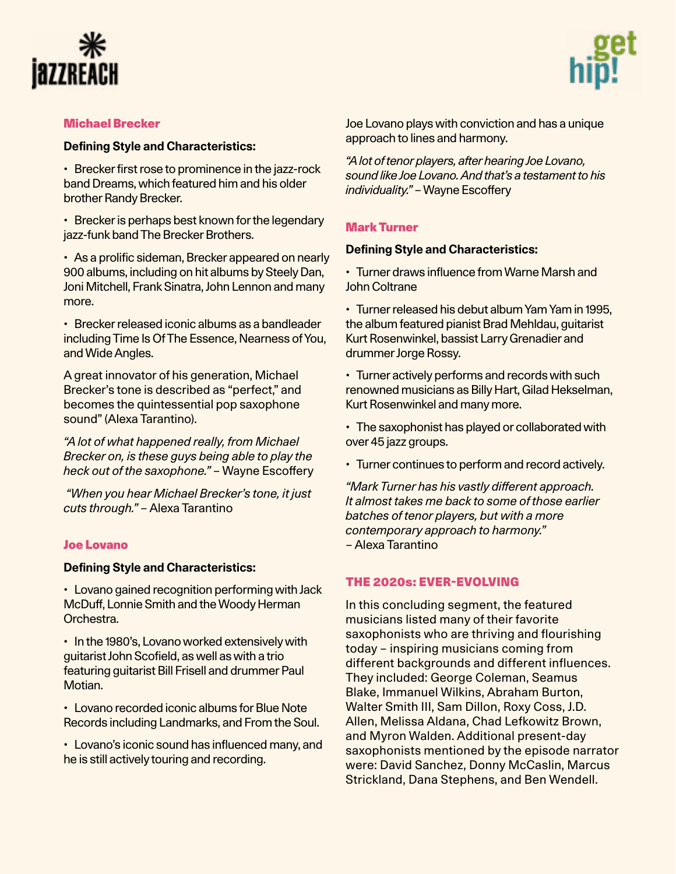



#### [Michael Brecker](https://en.wikipedia.org/wiki/Michael_Brecker)

#### **Defining Style and Characteristics:**

• Brecker first rose to prominence in the jazz-rock band Dreams, which featured him and his older brother Randy Brecker.

• Brecker is perhaps best known for the legendary jazz-funk band The Brecker Brothers.

• As a prolific sideman, Brecker appeared on nearly 900 albums, including on hit albums by Steely Dan, Joni Mitchell, Frank Sinatra, John Lennon and many more.

• Brecker released iconic albums as a bandleader including Time Is Of The Essence, Nearness of You, and Wide Angles.

A great innovator of his generation, Michael Brecker's tone is described as "perfect," and becomes the quintessential pop saxophone sound" (Alexa Tarantino).

*"A lot of what happened really, from Michael Brecker on, is these guys being able to play the heck out of the saxophone."* – Wayne Escoffery

*"When you hear Michael Brecker's tone, it just cuts through."* – Alexa Tarantino

#### [Joe Lovano](https://en.wikipedia.org/wiki/Joe_Lovano)

#### **Defining Style and Characteristics:**

• Lovano gained recognition performing with Jack McDuff, Lonnie Smith and the Woody Herman Orchestra.

• In the 1980's, Lovano worked extensively with guitarist John Scofield, as well as with a trio featuring guitarist Bill Frisell and drummer Paul Motian.

• Lovano recorded iconic albums for Blue Note Records including Landmarks, and From the Soul.

• Lovano's iconic sound has influenced many, and he is still actively touring and recording.

Joe Lovano plays with conviction and has a unique approach to lines and harmony.

*"A lot of tenor players, after hearing Joe Lovano, sound like Joe Lovano. And that's a testament to his individuality."* – Wayne Escoffery

#### [Mark Turner](https://en.wikipedia.org/wiki/Mark_Turner_(musician)

#### **Defining Style and Characteristics:**

• Turner draws influence from Warne Marsh and John Coltrane

• Turner released his debut album Yam Yam in 1995, the album featured pianist Brad Mehldau, guitarist Kurt Rosenwinkel, bassist Larry Grenadier and drummer Jorge Rossy.

• Turner actively performs and records with such renowned musicians as Billy Hart, Gilad Hekselman, Kurt Rosenwinkel and many more.

• The saxophonist has played or collaborated with over 45 jazz groups.

• Turner continues to perform and record actively.

*"Mark Turner has his vastly different approach. It almost takes me back to some of those earlier batches of tenor players, but with a more contemporary approach to harmony."*  – Alexa Tarantino

# THE 2020s: EVER-EVOLVING

In this concluding segment, the featured musicians listed many of their favorite saxophonists who are thriving and flourishing today – inspiring musicians coming from different backgrounds and different influences. They included: George Coleman, Seamus Blake, Immanuel Wilkins, Abraham Burton, Walter Smith III, Sam Dillon, Roxy Coss, J.D. Allen, Melissa Aldana, Chad Lefkowitz Brown, and Myron Walden. Additional present-day saxophonists mentioned by the episode narrator were: David Sanchez, Donny McCaslin, Marcus Strickland, Dana Stephens, and Ben Wendell.